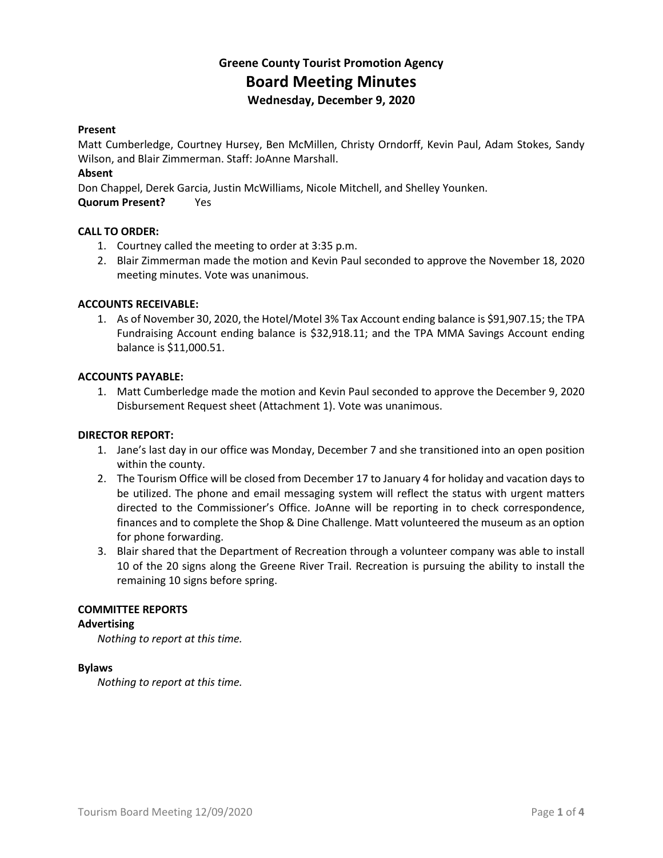## **Greene County Tourist Promotion Agency Board Meeting Minutes Wednesday, December 9, 2020**

#### **Present**

Matt Cumberledge, Courtney Hursey, Ben McMillen, Christy Orndorff, Kevin Paul, Adam Stokes, Sandy Wilson, and Blair Zimmerman. Staff: JoAnne Marshall.

#### **Absent**

Don Chappel, Derek Garcia, Justin McWilliams, Nicole Mitchell, and Shelley Younken.

**Quorum Present?** Yes

#### **CALL TO ORDER:**

- 1. Courtney called the meeting to order at 3:35 p.m.
- 2. Blair Zimmerman made the motion and Kevin Paul seconded to approve the November 18, 2020 meeting minutes. Vote was unanimous.

#### **ACCOUNTS RECEIVABLE:**

1. As of November 30, 2020, the Hotel/Motel 3% Tax Account ending balance is \$91,907.15; the TPA Fundraising Account ending balance is \$32,918.11; and the TPA MMA Savings Account ending balance is \$11,000.51.

#### **ACCOUNTS PAYABLE:**

1. Matt Cumberledge made the motion and Kevin Paul seconded to approve the December 9, 2020 Disbursement Request sheet (Attachment 1). Vote was unanimous.

#### **DIRECTOR REPORT:**

- 1. Jane's last day in our office was Monday, December 7 and she transitioned into an open position within the county.
- 2. The Tourism Office will be closed from December 17 to January 4 for holiday and vacation days to be utilized. The phone and email messaging system will reflect the status with urgent matters directed to the Commissioner's Office. JoAnne will be reporting in to check correspondence, finances and to complete the Shop & Dine Challenge. Matt volunteered the museum as an option for phone forwarding.
- 3. Blair shared that the Department of Recreation through a volunteer company was able to install 10 of the 20 signs along the Greene River Trail. Recreation is pursuing the ability to install the remaining 10 signs before spring.

#### **COMMITTEE REPORTS**

#### **Advertising**

*Nothing to report at this time.*

#### **Bylaws**

*Nothing to report at this time.*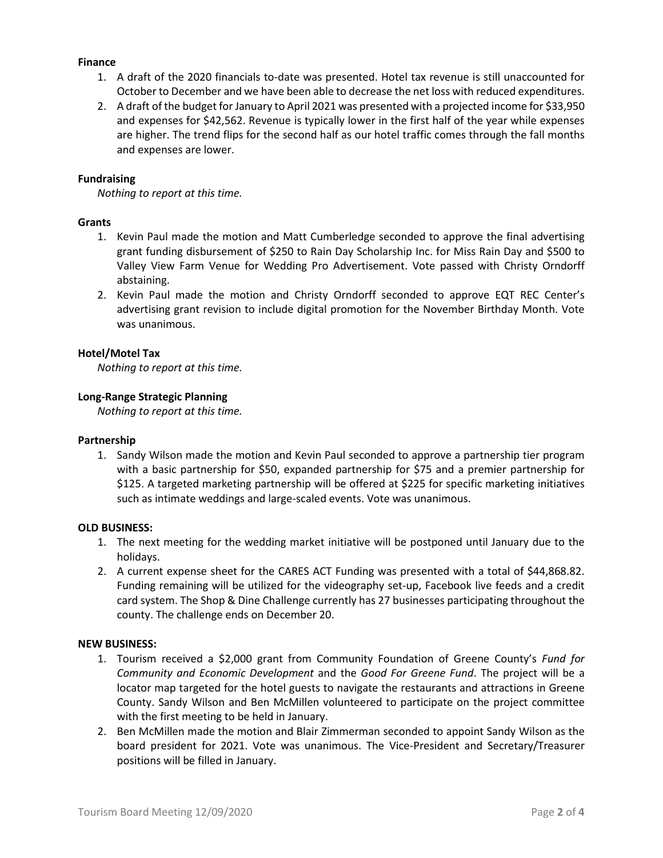#### **Finance**

- 1. A draft of the 2020 financials to-date was presented. Hotel tax revenue is still unaccounted for October to December and we have been able to decrease the net loss with reduced expenditures.
- 2. A draft of the budget for January to April 2021 was presented with a projected income for \$33,950 and expenses for \$42,562. Revenue is typically lower in the first half of the year while expenses are higher. The trend flips for the second half as our hotel traffic comes through the fall months and expenses are lower.

#### **Fundraising**

*Nothing to report at this time.*

#### **Grants**

- 1. Kevin Paul made the motion and Matt Cumberledge seconded to approve the final advertising grant funding disbursement of \$250 to Rain Day Scholarship Inc. for Miss Rain Day and \$500 to Valley View Farm Venue for Wedding Pro Advertisement. Vote passed with Christy Orndorff abstaining.
- 2. Kevin Paul made the motion and Christy Orndorff seconded to approve EQT REC Center's advertising grant revision to include digital promotion for the November Birthday Month. Vote was unanimous.

#### **Hotel/Motel Tax**

*Nothing to report at this time.*

#### **Long-Range Strategic Planning**

*Nothing to report at this time.*

#### **Partnership**

1. Sandy Wilson made the motion and Kevin Paul seconded to approve a partnership tier program with a basic partnership for \$50, expanded partnership for \$75 and a premier partnership for \$125. A targeted marketing partnership will be offered at \$225 for specific marketing initiatives such as intimate weddings and large-scaled events. Vote was unanimous.

#### **OLD BUSINESS:**

- 1. The next meeting for the wedding market initiative will be postponed until January due to the holidays.
- 2. A current expense sheet for the CARES ACT Funding was presented with a total of \$44,868.82. Funding remaining will be utilized for the videography set-up, Facebook live feeds and a credit card system. The Shop & Dine Challenge currently has 27 businesses participating throughout the county. The challenge ends on December 20.

#### **NEW BUSINESS:**

- 1. Tourism received a \$2,000 grant from Community Foundation of Greene County's *Fund for Community and Economic Development* and the *Good For Greene Fund*. The project will be a locator map targeted for the hotel guests to navigate the restaurants and attractions in Greene County. Sandy Wilson and Ben McMillen volunteered to participate on the project committee with the first meeting to be held in January.
- 2. Ben McMillen made the motion and Blair Zimmerman seconded to appoint Sandy Wilson as the board president for 2021. Vote was unanimous. The Vice-President and Secretary/Treasurer positions will be filled in January.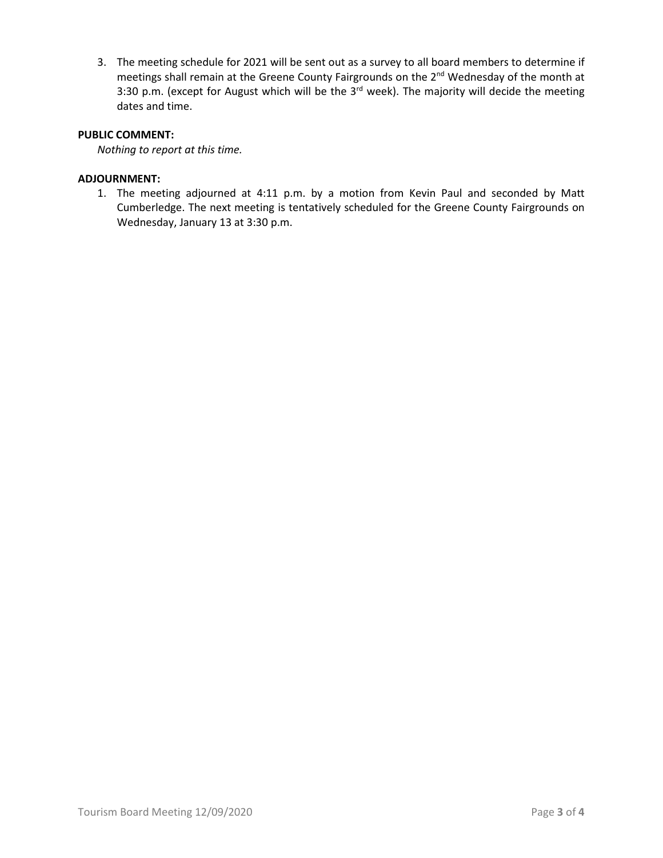3. The meeting schedule for 2021 will be sent out as a survey to all board members to determine if meetings shall remain at the Greene County Fairgrounds on the 2<sup>nd</sup> Wednesday of the month at 3:30 p.m. (except for August which will be the  $3^{rd}$  week). The majority will decide the meeting dates and time.

### **PUBLIC COMMENT:**

*Nothing to report at this time.*

#### **ADJOURNMENT:**

1. The meeting adjourned at 4:11 p.m. by a motion from Kevin Paul and seconded by Matt Cumberledge. The next meeting is tentatively scheduled for the Greene County Fairgrounds on Wednesday, January 13 at 3:30 p.m.